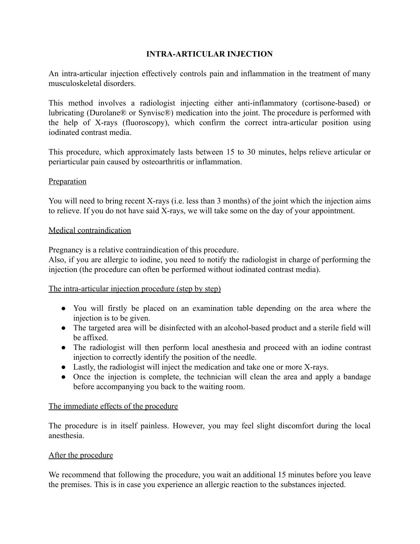# **INTRA-ARTICULAR INJECTION**

An intra-articular injection effectively controls pain and inflammation in the treatment of many musculoskeletal disorders.

This method involves a radiologist injecting either anti-inflammatory (cortisone-based) or lubricating (Durolane® or Synvisc®) medication into the joint. The procedure is performed with the help of X-rays (fluoroscopy), which confirm the correct intra-articular position using iodinated contrast media.

This procedure, which approximately lasts between 15 to 30 minutes, helps relieve articular or periarticular pain caused by osteoarthritis or inflammation.

## **Preparation**

You will need to bring recent X-rays (i.e. less than 3 months) of the joint which the injection aims to relieve. If you do not have said X-rays, we will take some on the day of your appointment.

## Medical contraindication

Pregnancy is a relative contraindication of this procedure.

Also, if you are allergic to iodine, you need to notify the radiologist in charge of performing the injection (the procedure can often be performed without iodinated contrast media).

### The intra-articular injection procedure (step by step)

- You will firstly be placed on an examination table depending on the area where the injection is to be given.
- The targeted area will be disinfected with an alcohol-based product and a sterile field will be affixed.
- The radiologist will then perform local anesthesia and proceed with an iodine contrast injection to correctly identify the position of the needle.
- Lastly, the radiologist will inject the medication and take one or more X-rays.
- Once the injection is complete, the technician will clean the area and apply a bandage before accompanying you back to the waiting room.

### The immediate effects of the procedure

The procedure is in itself painless. However, you may feel slight discomfort during the local anesthesia.

### After the procedure

We recommend that following the procedure, you wait an additional 15 minutes before you leave the premises. This is in case you experience an allergic reaction to the substances injected.